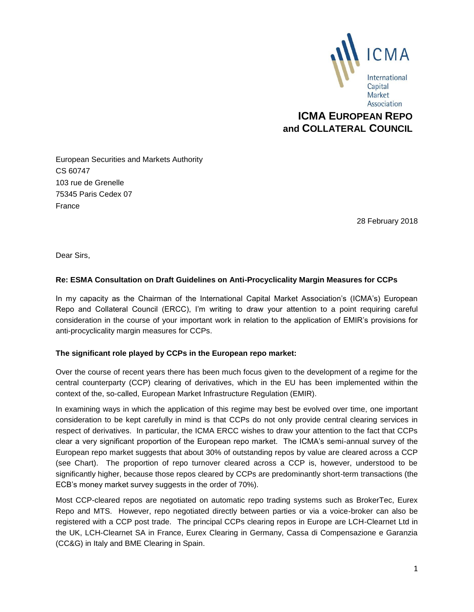

## **ICMA EUROPEAN REPO and COLLATERAL COUNCIL**

European Securities and Markets Authority CS 60747 103 rue de Grenelle 75345 Paris Cedex 07 France

28 February 2018

Dear Sirs,

#### **Re: ESMA Consultation on Draft Guidelines on Anti-Procyclicality Margin Measures for CCPs**

In my capacity as the Chairman of the International Capital Market Association's (ICMA's) European Repo and Collateral Council (ERCC), I'm writing to draw your attention to a point requiring careful consideration in the course of your important work in relation to the application of EMIR's provisions for anti-procyclicality margin measures for CCPs.

#### **The significant role played by CCPs in the European repo market:**

Over the course of recent years there has been much focus given to the development of a regime for the central counterparty (CCP) clearing of derivatives, which in the EU has been implemented within the context of the, so-called, European Market Infrastructure Regulation (EMIR).

In examining ways in which the application of this regime may best be evolved over time, one important consideration to be kept carefully in mind is that CCPs do not only provide central clearing services in respect of derivatives. In particular, the ICMA ERCC wishes to draw your attention to the fact that CCPs clear a very significant proportion of the European repo market. The ICMA's semi-annual survey of the European repo market suggests that about 30% of outstanding repos by value are cleared across a CCP (see Chart). The proportion of repo turnover cleared across a CCP is, however, understood to be significantly higher, because those repos cleared by CCPs are predominantly short-term transactions (the ECB's money market survey suggests in the order of 70%).

Most CCP-cleared repos are negotiated on automatic repo trading systems such as BrokerTec, Eurex Repo and MTS. However, repo negotiated directly between parties or via a voice-broker can also be registered with a CCP post trade. The principal CCPs clearing repos in Europe are LCH-Clearnet Ltd in the UK, LCH-Clearnet SA in France, Eurex Clearing in Germany, Cassa di Compensazione e Garanzia (CC&G) in Italy and BME Clearing in Spain.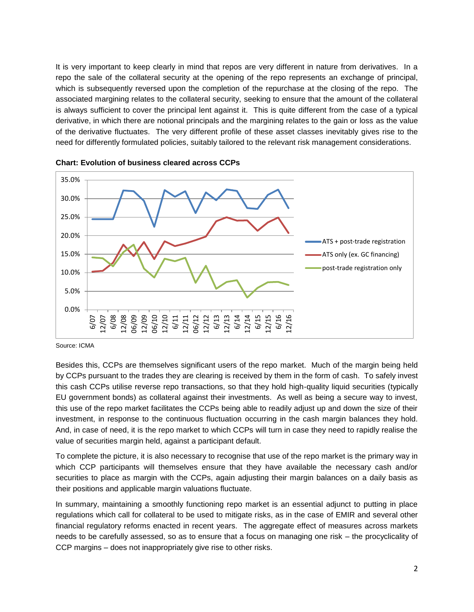It is very important to keep clearly in mind that repos are very different in nature from derivatives. In a repo the sale of the collateral security at the opening of the repo represents an exchange of principal, which is subsequently reversed upon the completion of the repurchase at the closing of the repo. The associated margining relates to the collateral security, seeking to ensure that the amount of the collateral is always sufficient to cover the principal lent against it. This is quite different from the case of a typical derivative, in which there are notional principals and the margining relates to the gain or loss as the value of the derivative fluctuates. The very different profile of these asset classes inevitably gives rise to the need for differently formulated policies, suitably tailored to the relevant risk management considerations.





Source: ICMA

Besides this, CCPs are themselves significant users of the repo market. Much of the margin being held by CCPs pursuant to the trades they are clearing is received by them in the form of cash. To safely invest this cash CCPs utilise reverse repo transactions, so that they hold high-quality liquid securities (typically EU government bonds) as collateral against their investments. As well as being a secure way to invest, this use of the repo market facilitates the CCPs being able to readily adjust up and down the size of their investment, in response to the continuous fluctuation occurring in the cash margin balances they hold. And, in case of need, it is the repo market to which CCPs will turn in case they need to rapidly realise the value of securities margin held, against a participant default.

To complete the picture, it is also necessary to recognise that use of the repo market is the primary way in which CCP participants will themselves ensure that they have available the necessary cash and/or securities to place as margin with the CCPs, again adjusting their margin balances on a daily basis as their positions and applicable margin valuations fluctuate.

In summary, maintaining a smoothly functioning repo market is an essential adjunct to putting in place regulations which call for collateral to be used to mitigate risks, as in the case of EMIR and several other financial regulatory reforms enacted in recent years. The aggregate effect of measures across markets needs to be carefully assessed, so as to ensure that a focus on managing one risk – the procyclicality of CCP margins – does not inappropriately give rise to other risks.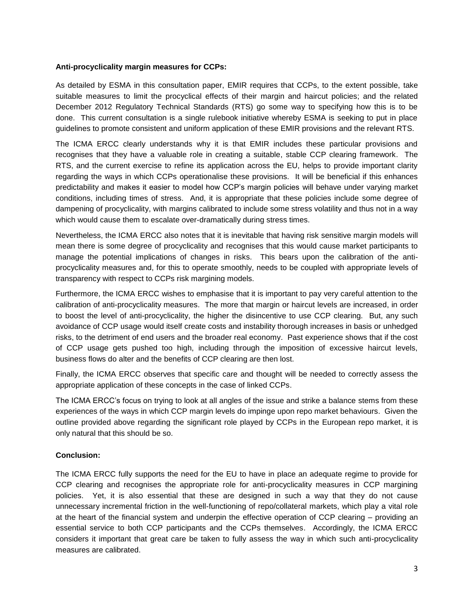#### **Anti-procyclicality margin measures for CCPs:**

As detailed by ESMA in this consultation paper, EMIR requires that CCPs, to the extent possible, take suitable measures to limit the procyclical effects of their margin and haircut policies; and the related December 2012 Regulatory Technical Standards (RTS) go some way to specifying how this is to be done. This current consultation is a single rulebook initiative whereby ESMA is seeking to put in place guidelines to promote consistent and uniform application of these EMIR provisions and the relevant RTS.

The ICMA ERCC clearly understands why it is that EMIR includes these particular provisions and recognises that they have a valuable role in creating a suitable, stable CCP clearing framework. The RTS, and the current exercise to refine its application across the EU, helps to provide important clarity regarding the ways in which CCPs operationalise these provisions. It will be beneficial if this enhances predictability and makes it easier to model how CCP's margin policies will behave under varying market conditions, including times of stress. And, it is appropriate that these policies include some degree of dampening of procyclicality, with margins calibrated to include some stress volatility and thus not in a way which would cause them to escalate over-dramatically during stress times.

Nevertheless, the ICMA ERCC also notes that it is inevitable that having risk sensitive margin models will mean there is some degree of procyclicality and recognises that this would cause market participants to manage the potential implications of changes in risks. This bears upon the calibration of the antiprocyclicality measures and, for this to operate smoothly, needs to be coupled with appropriate levels of transparency with respect to CCPs risk margining models.

Furthermore, the ICMA ERCC wishes to emphasise that it is important to pay very careful attention to the calibration of anti-procyclicality measures. The more that margin or haircut levels are increased, in order to boost the level of anti-procyclicality, the higher the disincentive to use CCP clearing. But, any such avoidance of CCP usage would itself create costs and instability thorough increases in basis or unhedged risks, to the detriment of end users and the broader real economy. Past experience shows that if the cost of CCP usage gets pushed too high, including through the imposition of excessive haircut levels, business flows do alter and the benefits of CCP clearing are then lost.

Finally, the ICMA ERCC observes that specific care and thought will be needed to correctly assess the appropriate application of these concepts in the case of linked CCPs.

The ICMA ERCC's focus on trying to look at all angles of the issue and strike a balance stems from these experiences of the ways in which CCP margin levels do impinge upon repo market behaviours. Given the outline provided above regarding the significant role played by CCPs in the European repo market, it is only natural that this should be so.

#### **Conclusion:**

The ICMA ERCC fully supports the need for the EU to have in place an adequate regime to provide for CCP clearing and recognises the appropriate role for anti-procyclicality measures in CCP margining policies. Yet, it is also essential that these are designed in such a way that they do not cause unnecessary incremental friction in the well-functioning of repo/collateral markets, which play a vital role at the heart of the financial system and underpin the effective operation of CCP clearing – providing an essential service to both CCP participants and the CCPs themselves. Accordingly, the ICMA ERCC considers it important that great care be taken to fully assess the way in which such anti-procyclicality measures are calibrated.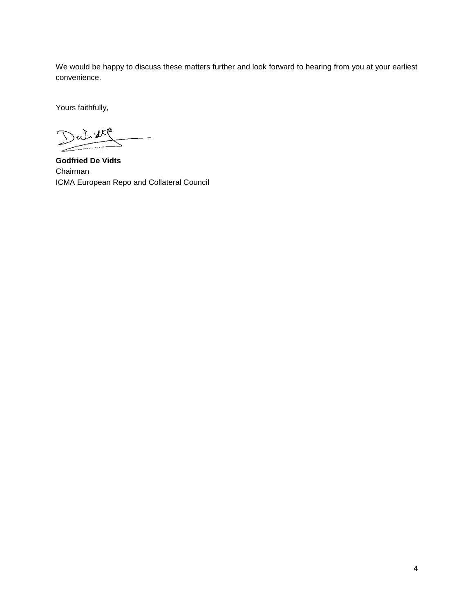We would be happy to discuss these matters further and look forward to hearing from you at your earliest convenience.

Yours faithfully,

Dutide  $\overline{\phantom{a}}$ 

**Godfried De Vidts** Chairman ICMA European Repo and Collateral Council